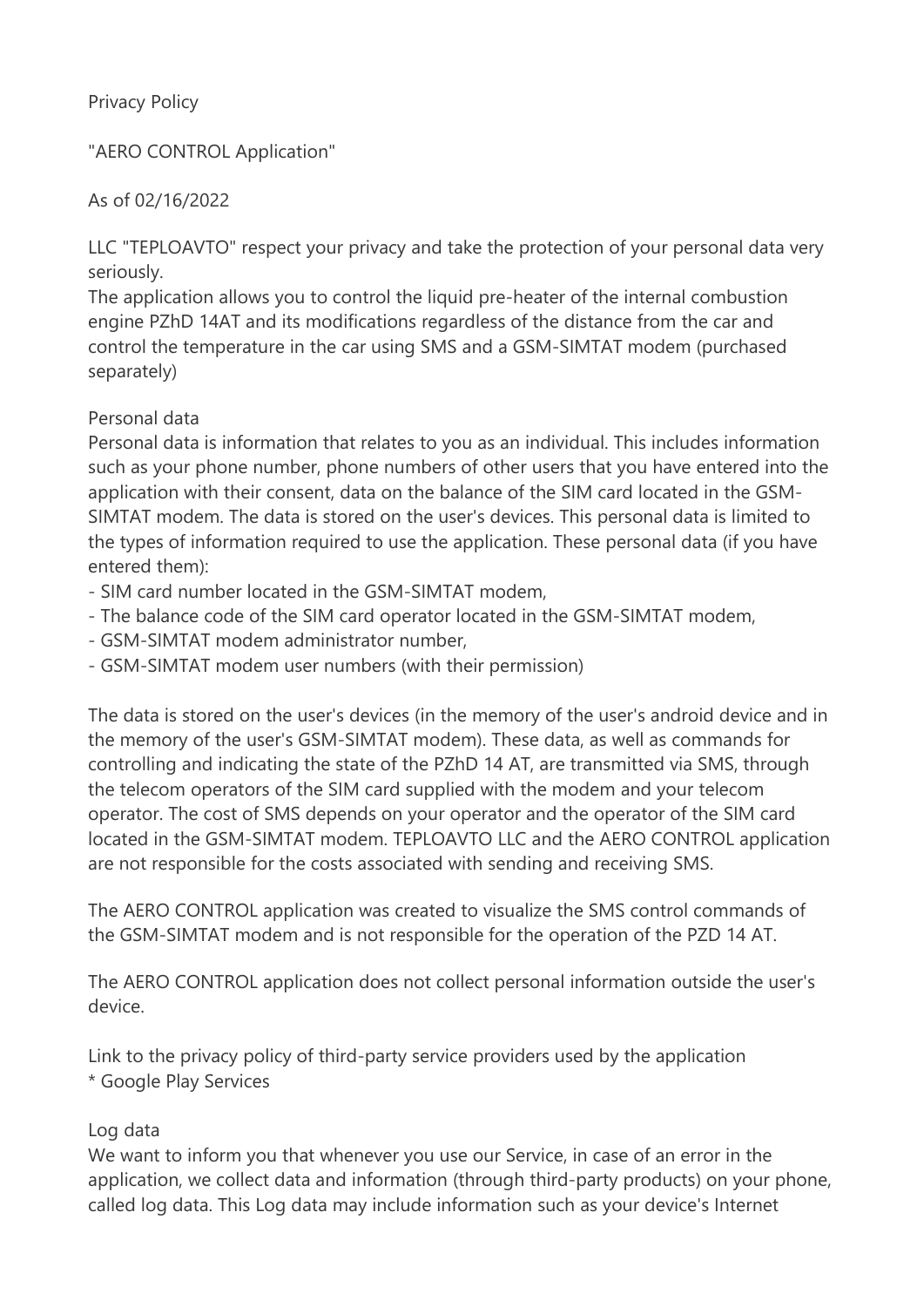### Privacy Policy

"AERO CONTROL Application"

As of 02/16/2022

LLC "TEPLOAVTO" respect your privacy and take the protection of your personal data very seriously.

The application allows you to control the liquid pre-heater of the internal combustion engine PZhD 14AT and its modifications regardless of the distance from the car and control the temperature in the car using SMS and a GSM-SIMTAT modem (purchased separately)

#### Personal data

Personal data is information that relates to you as an individual. This includes information such as your phone number, phone numbers of other users that you have entered into the application with their consent, data on the balance of the SIM card located in the GSM-SIMTAT modem. The data is stored on the user's devices. This personal data is limited to the types of information required to use the application. These personal data (if you have entered them):

- SIM card number located in the GSM-SIMTAT modem,
- The balance code of the SIM card operator located in the GSM-SIMTAT modem,
- GSM-SIMTAT modem administrator number,
- GSM-SIMTAT modem user numbers (with their permission)

The data is stored on the user's devices (in the memory of the user's android device and in the memory of the user's GSM-SIMTAT modem). These data, as well as commands for controlling and indicating the state of the PZhD 14 AT, are transmitted via SMS, through the telecom operators of the SIM card supplied with the modem and your telecom operator. The cost of SMS depends on your operator and the operator of the SIM card located in the GSM-SIMTAT modem. TEPLOAVTO LLC and the AERO CONTROL application are not responsible for the costs associated with sending and receiving SMS.

The AERO CONTROL application was created to visualize the SMS control commands of the GSM-SIMTAT modem and is not responsible for the operation of the PZD 14 AT.

The AERO CONTROL application does not collect personal information outside the user's device.

Link to the privacy policy of third-party service providers used by the application \* Google Play Services

#### Log data

We want to inform you that whenever you use our Service, in case of an error in the application, we collect data and information (through third-party products) on your phone, called log data. This Log data may include information such as your device's Internet